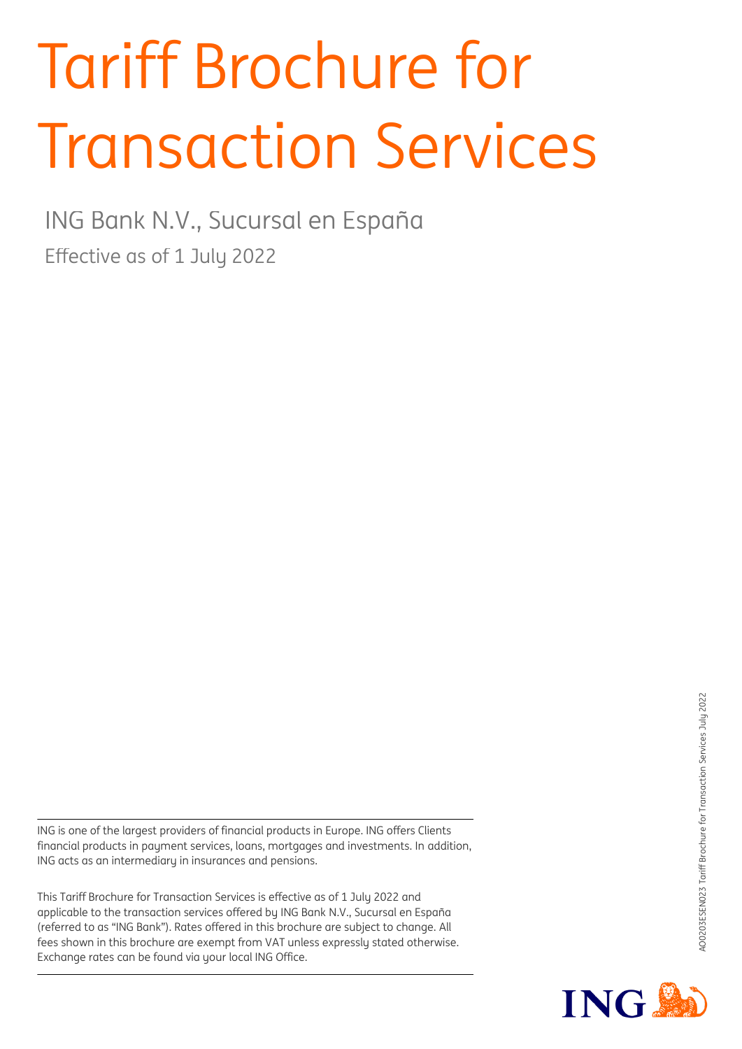# Tariff Brochure for Transaction Services

Effective as of 1 July 2022 ING Bank N.V., Sucursal en España

ING is one of the largest providers of financial products in Europe. ING offers Clients financial products in payment services, loans, mortgages and investments. In addition, ING acts as an intermediary in insurances and pensions.

This Tariff Brochure for Transaction Services is effective as of 1 July 2022 and applicable to the transaction services offered by ING Bank N.V., Sucursal en España (referred to as "ING Bank"). Rates offered in this brochure are subject to change. All fees shown in this brochure are exempt from VAT unless expressly stated otherwise. Exchange rates can be found via your local ING Office.

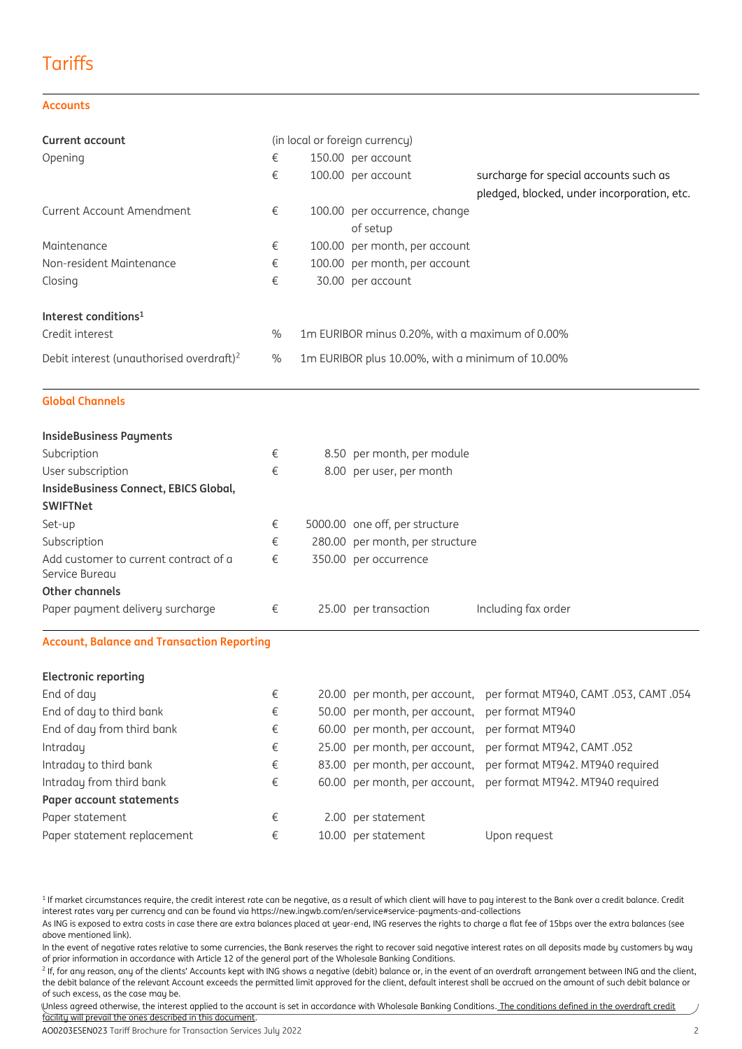## **Tariffs**

#### **Accounts**

| <b>Current account</b>                               |               | (in local or foreign currency)                   |                                                                                       |
|------------------------------------------------------|---------------|--------------------------------------------------|---------------------------------------------------------------------------------------|
| Opening                                              | €             | 150.00 per account                               |                                                                                       |
|                                                      | €             | 100.00 per account                               | surcharge for special accounts such as<br>pledged, blocked, under incorporation, etc. |
| Current Account Amendment                            | €             | 100.00 per occurrence, change                    |                                                                                       |
|                                                      |               | of setup                                         |                                                                                       |
| Maintenance                                          | €             | 100.00 per month, per account                    |                                                                                       |
| Non-resident Maintenance                             | €             | 100.00 per month, per account                    |                                                                                       |
| Closing                                              | €             | 30.00 per account                                |                                                                                       |
| Interest conditions <sup>1</sup>                     |               |                                                  |                                                                                       |
| Credit interest                                      | $\frac{0}{0}$ | 1 m EURIBOR minus 0.20%, with a maximum of 0.00% |                                                                                       |
| Debit interest (unauthorised overdraft) <sup>2</sup> | $\%$          | 1m EURIBOR plus 10.00%, with a minimum of 10.00% |                                                                                       |

**Global Channels**

| <b>InsideBusiness Payments</b>                                            |   |                                 |                     |
|---------------------------------------------------------------------------|---|---------------------------------|---------------------|
| Subcription                                                               | € | 8.50 per month, per module      |                     |
| User subscription                                                         | € | 8.00 per user, per month        |                     |
| InsideBusiness Connect, EBICS Global,                                     |   |                                 |                     |
| <b>SWIFTNet</b>                                                           |   |                                 |                     |
| Set-up                                                                    | € | 5000.00 one off, per structure  |                     |
| Subscription                                                              | € | 280.00 per month, per structure |                     |
| Add customer to current contract of a<br>Service Bureau<br>Other channels | € | 350.00 per occurrence           |                     |
| Paper payment delivery surcharge                                          | € | 25.00 per transaction           | Including fax order |
|                                                                           |   |                                 |                     |

#### **Account, Balance and Transaction Reporting**

| <b>Electronic reporting</b> |   |                                                |                                                                      |
|-----------------------------|---|------------------------------------------------|----------------------------------------------------------------------|
| End of day                  | € |                                                | 20.00 per month, per account, per format MT940, CAMT .053, CAMT .054 |
| End of day to third bank    | € | 50.00 per month, per account, per format MT940 |                                                                      |
| End of day from third bank  | € | 60.00 per month, per account, per format MT940 |                                                                      |
| Intraday                    | € |                                                | 25.00 per month, per account, per format MT942, CAMT .052            |
| Intraday to third bank      | € |                                                | 83.00 per month, per account, per format MT942. MT940 required       |
| Intraday from third bank    | € |                                                | 60.00 per month, per account, per format MT942. MT940 required       |
| Paper account statements    |   |                                                |                                                                      |
| Paper statement             | € | 2.00 per statement                             |                                                                      |
| Paper statement replacement | € | 10.00 per statement                            | Upon reguest                                                         |

<sup>&</sup>lt;sup>1</sup> If market circumstances require, the credit interest rate can be negative, as a result of which client will have to pay interest to the Bank over a credit balance. Credit interest rates vary per currency and can be found via https://new.ingwb.com/en/service#service-payments-and-collections

AO0203ESEN023 Tariff Brochure for Transaction Services July 2022 2

As ING is exposed to extra costs in case there are extra balances placed at year-end, ING reserves the rights to charge a flat fee of 15bps over the extra balances (see above mentioned link).

In the event of negative rates relative to some currencies, the Bank reserves the right to recover said negative interest rates on all deposits made by customers by way of prior information in accordance with Article 12 of the general part of the Wholesale Banking Conditions.

 $^2$  If, for any reason, any of the clients' Accounts kept with ING shows a negative (debit) balance or, in the event of an overdraft arrangement between ING and the client, the debit balance of the relevant Account exceeds the permitted limit approved for the client, default interest shall be accrued on the amount of such debit balance or of such excess, as the case may be.

Unless agreed otherwise, the interest applied to the account is set in accordance with Wholesale Banking Conditions. The conditions defined in the overdraft credit facility will prevail the ones described in this document.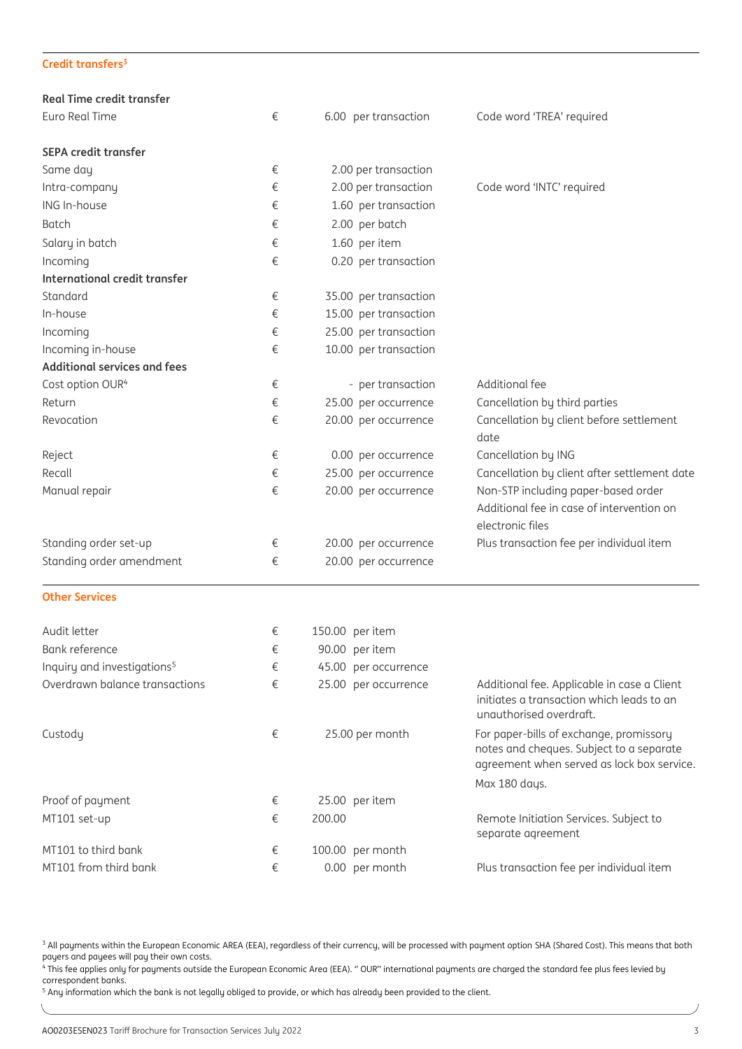#### **Credit transfers 3**

| <b>Real Time credit transfer</b>        |   |                       |                                                                                                                                   |
|-----------------------------------------|---|-----------------------|-----------------------------------------------------------------------------------------------------------------------------------|
| Euro Real Time                          | € | 6.00 per transaction  | Code word 'TREA' required                                                                                                         |
| <b>SEPA credit transfer</b>             |   |                       |                                                                                                                                   |
| Same day                                | € | 2.00 per transaction  |                                                                                                                                   |
| Intra-company                           | € | 2.00 per transaction  | Code word 'INTC' required                                                                                                         |
| ING In-house                            | € | 1.60 per transaction  |                                                                                                                                   |
| <b>Batch</b>                            | € | 2.00 per batch        |                                                                                                                                   |
| Salary in batch                         | € | 1.60 per item         |                                                                                                                                   |
| Incoming                                | € | 0.20 per transaction  |                                                                                                                                   |
| International credit transfer           |   |                       |                                                                                                                                   |
| Standard                                | € | 35.00 per transaction |                                                                                                                                   |
| In-house                                | € | 15.00 per transaction |                                                                                                                                   |
| Incoming                                | € | 25.00 per transaction |                                                                                                                                   |
| Incoming in-house                       | € | 10.00 per transaction |                                                                                                                                   |
| <b>Additional services and fees</b>     |   |                       |                                                                                                                                   |
| Cost option OUR <sup>4</sup>            | € | - per transaction     | Additional fee                                                                                                                    |
| Return                                  | € | 25.00 per occurrence  | Cancellation by third parties                                                                                                     |
| Revocation                              | € | 20.00 per occurrence  | Cancellation by client before settlement<br>date                                                                                  |
| Reject                                  | € | 0.00 per occurrence   | Cancellation by ING                                                                                                               |
| Recall                                  | € | 25.00 per occurrence  | Cancellation by client after settlement date                                                                                      |
| Manual repair                           | € | 20.00 per occurrence  | Non-STP including paper-based order<br>Additional fee in case of intervention on<br>electronic files                              |
| Standing order set-up                   | € | 20.00 per occurrence  | Plus transaction fee per individual item                                                                                          |
| Standing order amendment                | € | 20.00 per occurrence  |                                                                                                                                   |
| <b>Other Services</b>                   |   |                       |                                                                                                                                   |
| Audit letter                            | € | 150.00 per item       |                                                                                                                                   |
| Bank reference                          | € | 90.00 per item        |                                                                                                                                   |
| Inquiry and investigations <sup>5</sup> | € | 45.00 per occurrence  |                                                                                                                                   |
| Overdrawn balance transactions          | € | 25.00 per occurrence  | Additional fee. Applicable in case a Client<br>initiates a transaction which leads to an<br>unauthorised overdraft.               |
| Custody                                 | € | 25.00 per month       | For paper-bills of exchange, promissory<br>notes and cheques. Subject to a separate<br>agreement when served as lock box service. |
|                                         |   |                       | Max 180 days.                                                                                                                     |
| Proof of payment                        | € | 25.00 per item        |                                                                                                                                   |
| MT101 set-up                            | € | 200.00                | Remote Initiation Services. Subject to<br>separate agreement                                                                      |
| MT101 to third bank                     | € | 100.00 per month      |                                                                                                                                   |
| MT101 from third bank                   | € | 0.00 per month        | Plus transaction fee per individual item                                                                                          |

<sup>3</sup> All payments within the European Economic AREA (EEA), regardless of their currency, will be processed with payment option SHA (Shared Cost). This means that both payers and payees will pay their own costs.

4 This fee applies only for payments outside the European Economic Area (EEA). " OUR" international payments are charged the standard fee plus fees levied by correspondent banks.

<sup>5</sup> Any information which the bank is not legally obliged to provide, or which has already been provided to the client.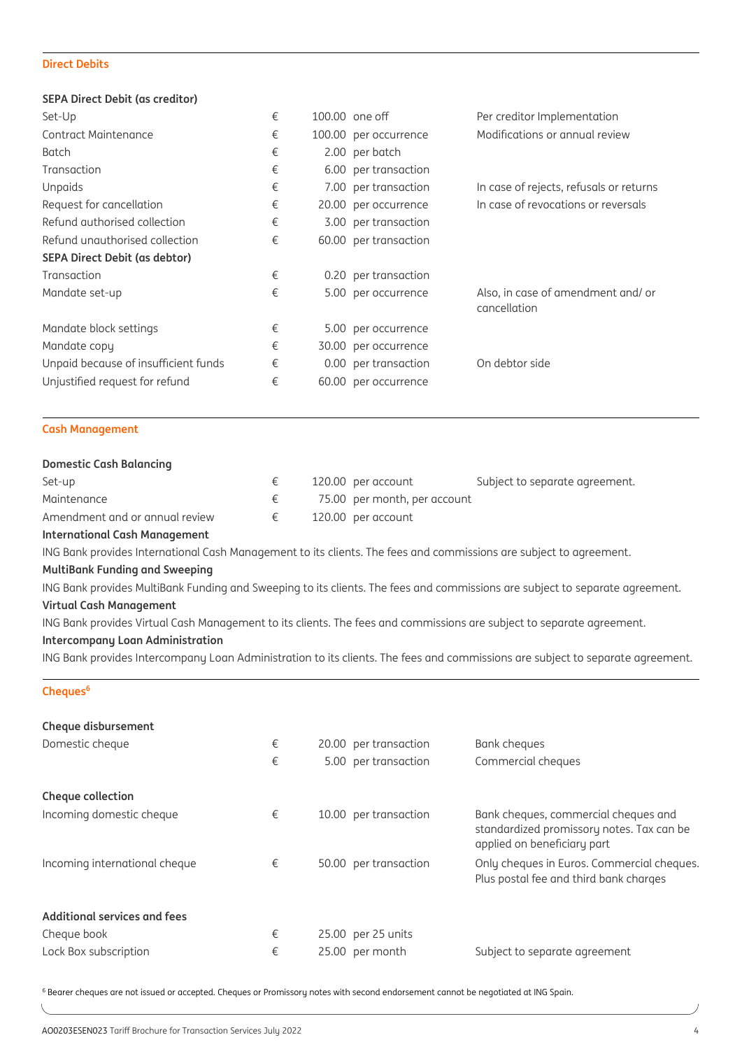#### **Direct Debits**

#### **SEPA Direct Debit (as creditor)**

| Set-Up                               | € | 100.00 one off        | Per creditor Implementation                       |
|--------------------------------------|---|-----------------------|---------------------------------------------------|
| Contract Maintenance                 | € | 100.00 per occurrence | Modifications or annual review                    |
| Batch                                | € | 2.00 per batch        |                                                   |
| Transaction                          | € | 6.00 per transaction  |                                                   |
| Unpaids                              | € | 7.00 per transaction  | In case of rejects, refusals or returns           |
| Request for cancellation             | € | 20.00 per occurrence  | In case of revocations or reversals               |
| Refund authorised collection         | € | 3.00 per transaction  |                                                   |
| Refund unauthorised collection       | € | 60.00 per transaction |                                                   |
| <b>SEPA Direct Debit (as debtor)</b> |   |                       |                                                   |
| Transaction                          | € | 0.20 per transaction  |                                                   |
| Mandate set-up                       | € | 5.00 per occurrence   | Also, in case of amendment and/or<br>cancellation |
| Mandate block settings               | € | 5.00 per occurrence   |                                                   |
| Mandate copy                         | € | 30.00 per occurrence  |                                                   |
| Unpaid because of insufficient funds | € | 0.00 per transaction  | On debtor side                                    |
| Unjustified request for refund       | € | 60.00 per occurrence  |                                                   |
|                                      |   |                       |                                                   |

#### **Cash Management**

#### **Domestic Cash Balancing**

| Set-up                         |  | 120.00 per account           | Subject to separate agreement. |
|--------------------------------|--|------------------------------|--------------------------------|
| Maintenance                    |  | 75.00 per month, per account |                                |
| Amendment and or annual review |  | 120.00 per account           |                                |

#### **International Cash Management**

ING Bank provides International Cash Management to its clients. The fees and commissions are subject to agreement.

#### **MultiBank Funding and Sweeping**

ING Bank provides MultiBank Funding and Sweeping to its clients. The fees and commissions are subject to separate agreement. **Virtual Cash Management**

ING Bank provides Virtual Cash Management to its clients. The fees and commissions are subject to separate agreement.

#### **Intercompany Loan Administration**

ING Bank provides Intercompany Loan Administration to its clients. The fees and commissions are subject to separate agreement.

#### **Cheques<sup>6</sup>**

| Cheque disbursement           |   |                       |                                                                                                                  |
|-------------------------------|---|-----------------------|------------------------------------------------------------------------------------------------------------------|
| Domestic cheque               | € | 20.00 per transaction | Bank cheques                                                                                                     |
|                               | € | 5.00 per transaction  | Commercial cheques                                                                                               |
| Cheque collection             |   |                       |                                                                                                                  |
| Incoming domestic cheque      | € | 10.00 per transaction | Bank cheques, commercial cheques and<br>standardized promissory notes. Tax can be<br>applied on beneficiary part |
| Incoming international cheque | € | 50.00 per transaction | Only cheques in Euros. Commercial cheques.<br>Plus postal fee and third bank charges                             |
| Additional services and fees  |   |                       |                                                                                                                  |
| Cheque book                   | € | 25.00 per 25 units    |                                                                                                                  |
| Lock Box subscription         | € | 25.00 per month       | Subject to separate agreement                                                                                    |

<sup>6</sup> Bearer cheques are not issued or accepted. Cheques or Promissory notes with second endorsement cannot be negotiated at ING Spain.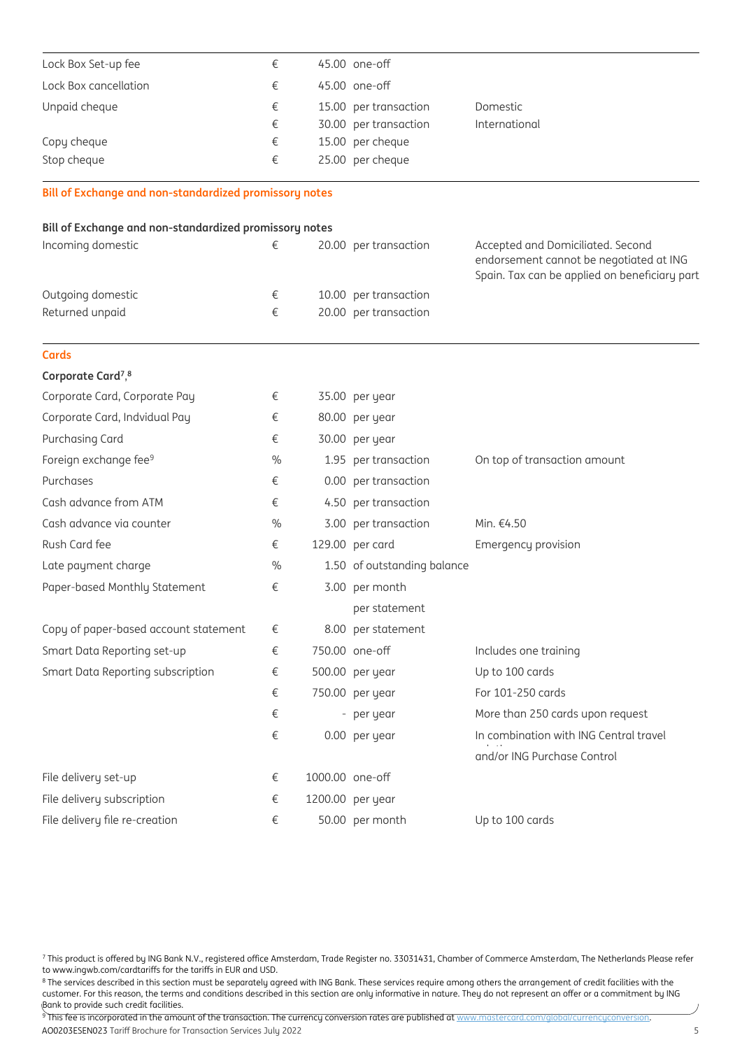| Lock Box Set-up fee   | € | 45.00 one-off         |               |
|-----------------------|---|-----------------------|---------------|
| Lock Box cancellation | € | 45.00 one-off         |               |
| Unpaid cheque         | € | 15.00 per transaction | Domestic      |
|                       | € | 30.00 per transaction | International |
| Copy cheque           | € | 15.00 per cheque      |               |
| Stop cheque           | € | 25.00 per cheque      |               |

**Bill of Exchange and non-standardized promissory notes**

#### **Bill of Exchange and non-standardized promissory notes**

| Incoming domestic | 20.00 per transaction | Accepted and Domiciliated. Second<br>endorsement cannot be negotiated at ING<br>Spain. Tax can be applied on beneficiary part |
|-------------------|-----------------------|-------------------------------------------------------------------------------------------------------------------------------|
| Outgoing domestic | 10.00 per transaction |                                                                                                                               |
| Returned unpaid   | 20.00 per transaction |                                                                                                                               |

| <b>Cards</b>                               |      |                 |                             |                                        |
|--------------------------------------------|------|-----------------|-----------------------------|----------------------------------------|
| Corporate Card <sup>7</sup> , <sup>8</sup> |      |                 |                             |                                        |
| Corporate Card, Corporate Pay              | €    |                 | 35.00 per year              |                                        |
| Corporate Card, Indvidual Pay              | €    |                 | 80.00 per year              |                                        |
| Purchasing Card                            | €    |                 | 30.00 per year              |                                        |
| Foreign exchange fee <sup>9</sup>          | $\%$ |                 | 1.95 per transaction        | On top of transaction amount           |
| Purchases                                  | €    |                 | 0.00 per transaction        |                                        |
| Cash advance from ATM                      | €    |                 | 4.50 per transaction        |                                        |
| Cash advance via counter                   | $\%$ |                 | 3.00 per transaction        | Min. €4.50                             |
| Rush Card fee                              | €    |                 | 129.00 per card             | Emergency provision                    |
| Late payment charge                        | $\%$ |                 | 1.50 of outstanding balance |                                        |
| Paper-based Monthly Statement              | €    |                 | 3.00 per month              |                                        |
|                                            |      |                 | per statement               |                                        |
| Copy of paper-based account statement      | €    |                 | 8.00 per statement          |                                        |
| Smart Data Reporting set-up                | €    |                 | 750.00 one-off              | Includes one training                  |
| Smart Data Reporting subscription          | €    |                 | 500.00 per year             | Up to 100 cards                        |
|                                            | €    |                 | 750.00 per year             | For 101-250 cards                      |
|                                            | €    |                 | - per year                  | More than 250 cards upon request       |
|                                            | €    |                 | 0.00 per year               | In combination with ING Central travel |
|                                            |      |                 |                             | and/or ING Purchase Control            |
| File delivery set-up                       | €    | 1000.00 one-off |                             |                                        |
| File delivery subscription                 | €    |                 | 1200.00 per year            |                                        |
| File delivery file re-creation             | €    |                 | 50.00 per month             | Up to 100 cards                        |

7 This product is offered by ING Bank N.V., registered office Amsterdam, Trade Register no. 33031431, Chamber of Commerce Amsterdam, The Netherlands Please refer to www.ingwb.com/cardtariffs for the tariffs in EUR and USD.

<sup>8</sup> The services described in this section must be separately agreed with ING Bank. These services require among others the arrangement of credit facilities with the customer. For this reason, the terms and conditions described in this section are only informative in nature. They do not represent an offer or a commitment by ING Bank to provide such credit facilities.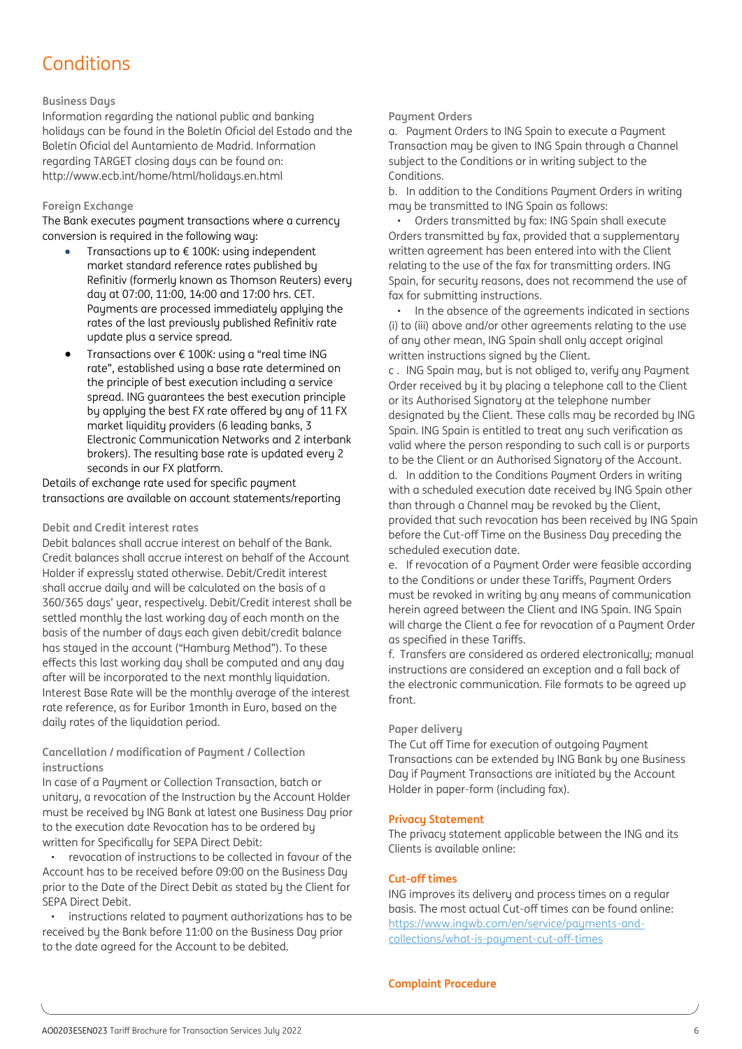### Conditions

#### **Business Days**

Information regarding the national public and banking holidays can be found in the Boletín Oficial del Estado and the Boletín Oficial del Auntamiento de Madrid. Information regarding TARGET closing days can be found on: http://www.ecb.int/home/html/holidays.en.html

#### **Foreign Exchange**

The Bank executes payment transactions where a currency conversion is required in the following way:

- Transactions up to  $\epsilon$  100K: using independent market standard reference rates published by Refinitiv (formerly known as Thomson Reuters) every day at 07:00, 11:00, 14:00 and 17:00 hrs. CET. Payments are processed immediately applying the rates of the last previously published Refinitiv rate update plus a service spread.
- Transactions over  $\epsilon$  100K: using a "real time ING rate", established using a base rate determined on the principle of best execution including a service spread. ING guarantees the best execution principle by applying the best FX rate offered by any of 11 FX market liquidity providers (6 leading banks, 3 Electronic Communication Networks and 2 interbank brokers). The resulting base rate is updated every 2 seconds in our FX platform.

Details of exchange rate used for specific payment transactions are available on account statements/reporting

#### **Debit and Credit interest rates**

Debit balances shall accrue interest on behalf of the Bank. Credit balances shall accrue interest on behalf of the Account Holder if expressly stated otherwise. Debit/Credit interest shall accrue daily and will be calculated on the basis of a 360/365 days' year, respectively. Debit/Credit interest shall be settled monthly the last working day of each month on the basis of the number of days each given debit/credit balance has stayed in the account ("Hamburg Method"). To these effects this last working day shall be computed and any day after will be incorporated to the next monthly liquidation. Interest Base Rate will be the monthly average of the interest rate reference, as for Euribor 1month in Euro, based on the daily rates of the liquidation period.

#### **Cancellation / modification of Payment / Collection instructions**

In case of a Payment or Collection Transaction, batch or unitary, a revocation of the Instruction by the Account Holder must be received by ING Bank at latest one Business Day prior to the execution date Revocation has to be ordered by written for Specifically for SEPA Direct Debit:

• revocation of instructions to be collected in favour of the Account has to be received before 09:00 on the Business Day prior to the Date of the Direct Debit as stated by the Client for SEPA Direct Debit.

instructions related to payment authorizations has to be received by the Bank before 11:00 on the Business Day prior to the date agreed for the Account to be debited.

#### **Payment Orders**

a. Payment Orders to ING Spain to execute a Payment Transaction may be given to ING Spain through a Channel subject to the Conditions or in writing subject to the Conditions.

b. In addition to the Conditions Payment Orders in writing may be transmitted to ING Spain as follows:

• Orders transmitted by fax: ING Spain shall execute Orders transmitted by fax, provided that a supplementary written agreement has been entered into with the Client relating to the use of the fax for transmitting orders. ING Spain, for security reasons, does not recommend the use of fax for submitting instructions.

• In the absence of the agreements indicated in sections (i) to (iii) above and/or other agreements relating to the use of any other mean, ING Spain shall only accept original written instructions signed by the Client.

c . ING Spain may, but is not obliged to, verify any Payment Order received by it by placing a telephone call to the Client or its Authorised Signatory at the telephone number designated by the Client. These calls may be recorded by ING Spain. ING Spain is entitled to treat any such verification as valid where the person responding to such call is or purports to be the Client or an Authorised Signatory of the Account. d. In addition to the Conditions Payment Orders in writing with a scheduled execution date received by ING Spain other than through a Channel may be revoked by the Client, provided that such revocation has been received by ING Spain before the Cut-off Time on the Business Day preceding the scheduled execution date.

e. If revocation of a Payment Order were feasible according to the Conditions or under these Tariffs, Payment Orders must be revoked in writing by any means of communication herein agreed between the Client and ING Spain. ING Spain will charge the Client a fee for revocation of a Payment Order as specified in these Tariffs.

f. Transfers are considered as ordered electronically; manual instructions are considered an exception and a fall back of the electronic communication. File formats to be agreed up front.

#### **Paper delivery**

The Cut off Time for execution of outgoing Payment Transactions can be extended by ING Bank by one Business Day if Payment Transactions are initiated by the Account Holder in paper-form (including fax).

#### **Privacy Statement**

The privacy statement applicable between the ING and its Clients is available online:

#### **Cut-off times**

ING improves its delivery and process times on a regular basis. The most actual Cut-off times can be found online: [https://www.ingwb.com/en/service/payments-and](https://www.ingwb.com/en/service/payments-and-collections/what-is-payment-cut-off-times)[collections/what-is-payment-cut-off-times](https://www.ingwb.com/en/service/payments-and-collections/what-is-payment-cut-off-times)

#### **Complaint Procedure**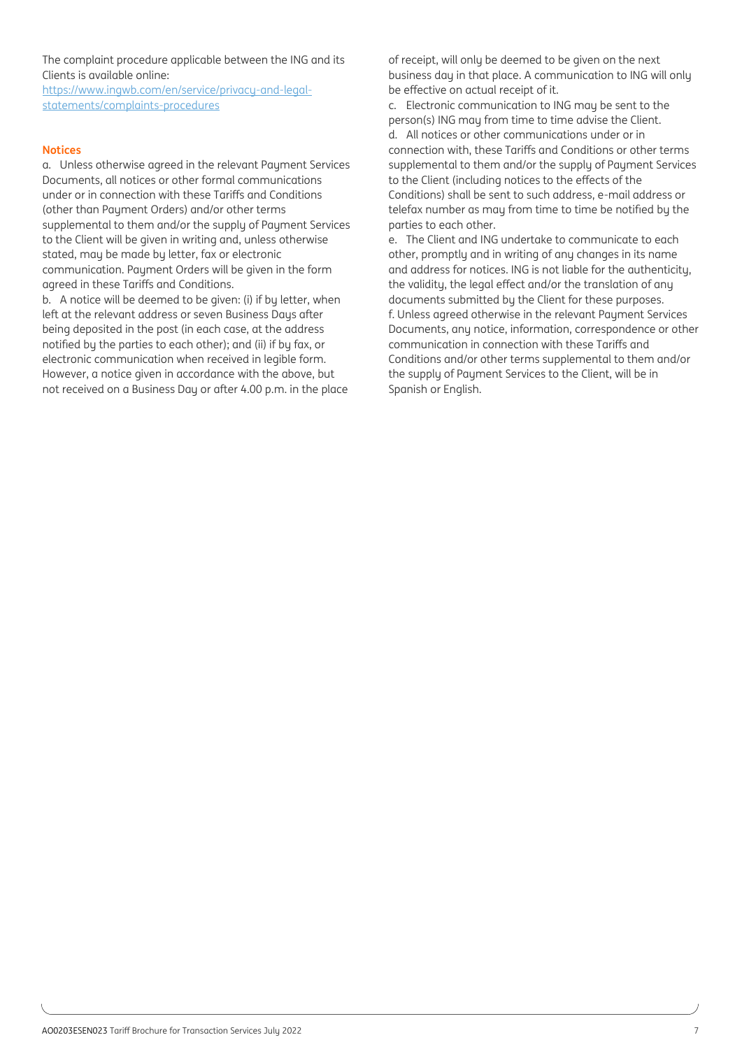The complaint procedure applicable between the ING and its Clients is available online:

[https://www.ingwb.com/en/service/privacy-and-legal](https://www.ingwb.com/en/service/privacy-and-legal-statements/complaints-procedures)[statements/complaints-procedures](https://www.ingwb.com/en/service/privacy-and-legal-statements/complaints-procedures)

#### **Notices**

a. Unless otherwise agreed in the relevant Payment Services Documents, all notices or other formal communications under or in connection with these Tariffs and Conditions (other than Payment Orders) and/or other terms supplemental to them and/or the supply of Payment Services to the Client will be given in writing and, unless otherwise stated, may be made by letter, fax or electronic communication. Payment Orders will be given in the form agreed in these Tariffs and Conditions.

b. A notice will be deemed to be given: (i) if by letter, when left at the relevant address or seven Business Days after being deposited in the post (in each case, at the address notified by the parties to each other); and (ii) if by fax, or electronic communication when received in legible form. However, a notice given in accordance with the above, but not received on a Business Day or after 4.00 p.m. in the place of receipt, will only be deemed to be given on the next business day in that place. A communication to ING will only be effective on actual receipt of it.

c. Electronic communication to ING may be sent to the person(s) ING may from time to time advise the Client. d. All notices or other communications under or in connection with, these Tariffs and Conditions or other terms supplemental to them and/or the supply of Payment Services to the Client (including notices to the effects of the Conditions) shall be sent to such address, e-mail address or telefax number as may from time to time be notified by the parties to each other.

e. The Client and ING undertake to communicate to each other, promptly and in writing of any changes in its name and address for notices. ING is not liable for the authenticity, the validity, the legal effect and/or the translation of any documents submitted by the Client for these purposes. f. Unless agreed otherwise in the relevant Payment Services Documents, any notice, information, correspondence or other communication in connection with these Tariffs and Conditions and/or other terms supplemental to them and/or the supply of Payment Services to the Client, will be in Spanish or English.